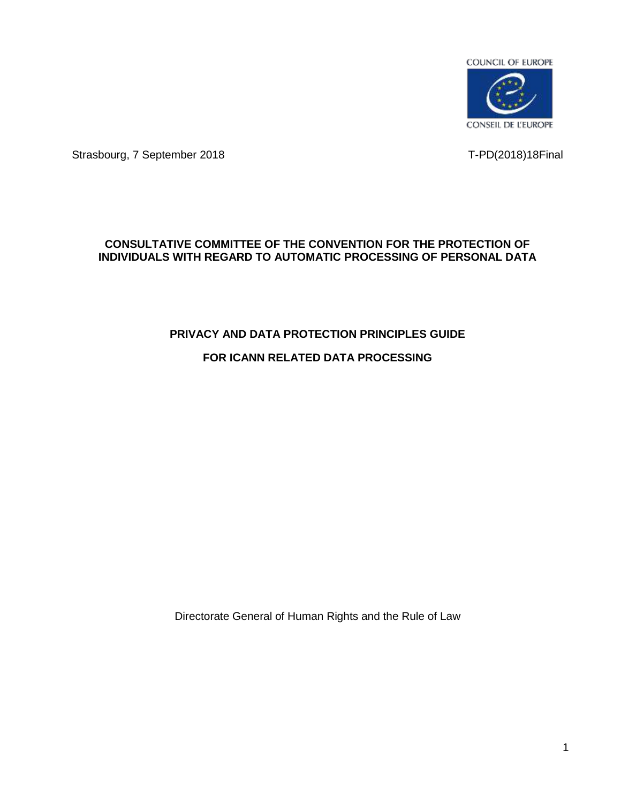

Strasbourg, 7 September 2018 T-PD(2018)18Final

## **CONSULTATIVE COMMITTEE OF THE CONVENTION FOR THE PROTECTION OF INDIVIDUALS WITH REGARD TO AUTOMATIC PROCESSING OF PERSONAL DATA**

## **PRIVACY AND DATA PROTECTION PRINCIPLES GUIDE**

# **FOR ICANN RELATED DATA PROCESSING**

Directorate General of Human Rights and the Rule of Law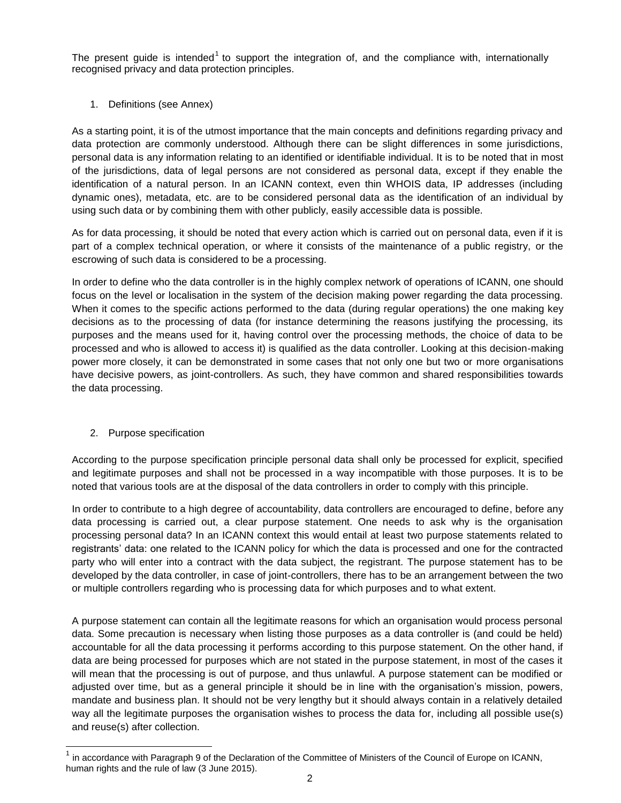The present guide is intended<sup>1</sup> to support the integration of, and the compliance with, internationally recognised privacy and data protection principles.

#### 1. Definitions (see Annex)

As a starting point, it is of the utmost importance that the main concepts and definitions regarding privacy and data protection are commonly understood. Although there can be slight differences in some jurisdictions, personal data is any information relating to an identified or identifiable individual. It is to be noted that in most of the jurisdictions, data of legal persons are not considered as personal data, except if they enable the identification of a natural person. In an ICANN context, even thin WHOIS data, IP addresses (including dynamic ones), metadata, etc. are to be considered personal data as the identification of an individual by using such data or by combining them with other publicly, easily accessible data is possible.

As for data processing, it should be noted that every action which is carried out on personal data, even if it is part of a complex technical operation, or where it consists of the maintenance of a public registry, or the escrowing of such data is considered to be a processing.

In order to define who the data controller is in the highly complex network of operations of ICANN, one should focus on the level or localisation in the system of the decision making power regarding the data processing. When it comes to the specific actions performed to the data (during regular operations) the one making key decisions as to the processing of data (for instance determining the reasons justifying the processing, its purposes and the means used for it, having control over the processing methods, the choice of data to be processed and who is allowed to access it) is qualified as the data controller. Looking at this decision-making power more closely, it can be demonstrated in some cases that not only one but two or more organisations have decisive powers, as joint-controllers. As such, they have common and shared responsibilities towards the data processing.

#### 2. Purpose specification

According to the purpose specification principle personal data shall only be processed for explicit, specified and legitimate purposes and shall not be processed in a way incompatible with those purposes. It is to be noted that various tools are at the disposal of the data controllers in order to comply with this principle.

In order to contribute to a high degree of accountability, data controllers are encouraged to define, before any data processing is carried out, a clear purpose statement. One needs to ask why is the organisation processing personal data? In an ICANN context this would entail at least two purpose statements related to registrants' data: one related to the ICANN policy for which the data is processed and one for the contracted party who will enter into a contract with the data subject, the registrant. The purpose statement has to be developed by the data controller, in case of joint-controllers, there has to be an arrangement between the two or multiple controllers regarding who is processing data for which purposes and to what extent.

A purpose statement can contain all the legitimate reasons for which an organisation would process personal data. Some precaution is necessary when listing those purposes as a data controller is (and could be held) accountable for all the data processing it performs according to this purpose statement. On the other hand, if data are being processed for purposes which are not stated in the purpose statement, in most of the cases it will mean that the processing is out of purpose, and thus unlawful. A purpose statement can be modified or adjusted over time, but as a general principle it should be in line with the organisation's mission, powers, mandate and business plan. It should not be very lengthy but it should always contain in a relatively detailed way all the legitimate purposes the organisation wishes to process the data for, including all possible use(s) and reuse(s) after collection.

<sup>1</sup> in accordance with Paragraph 9 of the [Declaration of the Committee of Ministers of the Council of Europe on ICANN,](https://wcd.coe.int/ViewDoc.jsp?p&Ref=Decl(03.06.2015)2&Language=lanEnglish&Ver=original&Site=COE&BackColorInternet=DBDCF2&BackColorIntranet=FDC864&BackColorLogged=FDC864&direct=true) [human rights and the rule of law](https://wcd.coe.int/ViewDoc.jsp?p&Ref=Decl(03.06.2015)2&Language=lanEnglish&Ver=original&Site=COE&BackColorInternet=DBDCF2&BackColorIntranet=FDC864&BackColorLogged=FDC864&direct=true) (3 June 2015).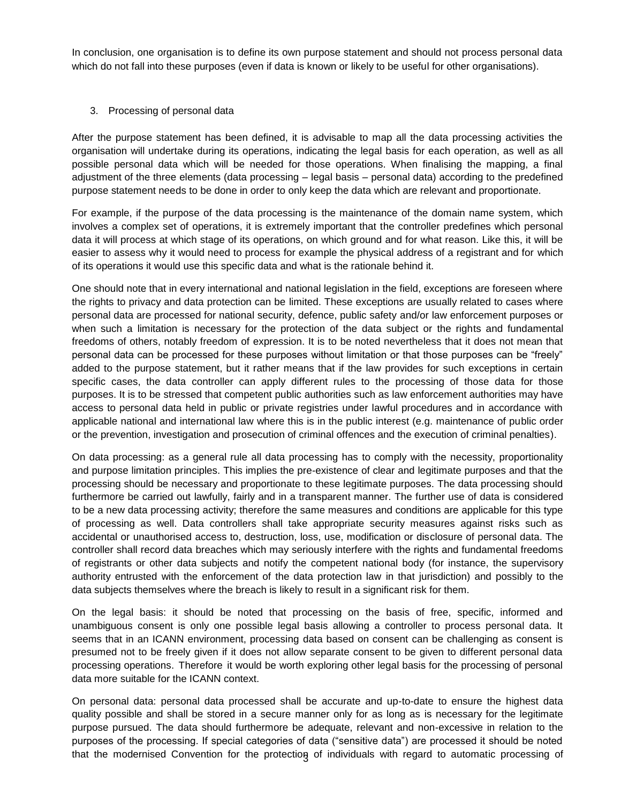In conclusion, one organisation is to define its own purpose statement and should not process personal data which do not fall into these purposes (even if data is known or likely to be useful for other organisations).

#### 3. Processing of personal data

After the purpose statement has been defined, it is advisable to map all the data processing activities the organisation will undertake during its operations, indicating the legal basis for each operation, as well as all possible personal data which will be needed for those operations. When finalising the mapping, a final adjustment of the three elements (data processing – legal basis – personal data) according to the predefined purpose statement needs to be done in order to only keep the data which are relevant and proportionate.

For example, if the purpose of the data processing is the maintenance of the domain name system, which involves a complex set of operations, it is extremely important that the controller predefines which personal data it will process at which stage of its operations, on which ground and for what reason. Like this, it will be easier to assess why it would need to process for example the physical address of a registrant and for which of its operations it would use this specific data and what is the rationale behind it.

One should note that in every international and national legislation in the field, exceptions are foreseen where the rights to privacy and data protection can be limited. These exceptions are usually related to cases where personal data are processed for national security, defence, public safety and/or law enforcement purposes or when such a limitation is necessary for the protection of the data subject or the rights and fundamental freedoms of others, notably freedom of expression. It is to be noted nevertheless that it does not mean that personal data can be processed for these purposes without limitation or that those purposes can be "freely" added to the purpose statement, but it rather means that if the law provides for such exceptions in certain specific cases, the data controller can apply different rules to the processing of those data for those purposes. It is to be stressed that competent public authorities such as law enforcement authorities may have access to personal data held in public or private registries under lawful procedures and in accordance with applicable national and international law where this is in the public interest (e.g. maintenance of public order or the prevention, investigation and prosecution of criminal offences and the execution of criminal penalties).

On data processing: as a general rule all data processing has to comply with the necessity, proportionality and purpose limitation principles. This implies the pre-existence of clear and legitimate purposes and that the processing should be necessary and proportionate to these legitimate purposes. The data processing should furthermore be carried out lawfully, fairly and in a transparent manner. The further use of data is considered to be a new data processing activity; therefore the same measures and conditions are applicable for this type of processing as well. Data controllers shall take appropriate security measures against risks such as accidental or unauthorised access to, destruction, loss, use, modification or disclosure of personal data. The controller shall record data breaches which may seriously interfere with the rights and fundamental freedoms of registrants or other data subjects and notify the competent national body (for instance, the supervisory authority entrusted with the enforcement of the data protection law in that jurisdiction) and possibly to the data subjects themselves where the breach is likely to result in a significant risk for them.

On the legal basis: it should be noted that processing on the basis of free, specific, informed and unambiguous consent is only one possible legal basis allowing a controller to process personal data. It seems that in an ICANN environment, processing data based on consent can be challenging as consent is presumed not to be freely given if it does not allow separate consent to be given to different personal data processing operations. Therefore it would be worth exploring other legal basis for the processing of personal data more suitable for the ICANN context.

that the modernised Convention for the protectiog of individuals with regard to automatic processing of On personal data: personal data processed shall be accurate and up-to-date to ensure the highest data quality possible and shall be stored in a secure manner only for as long as is necessary for the legitimate purpose pursued. The data should furthermore be adequate, relevant and non-excessive in relation to the purposes of the processing. If special categories of data ("sensitive data") are processed it should be noted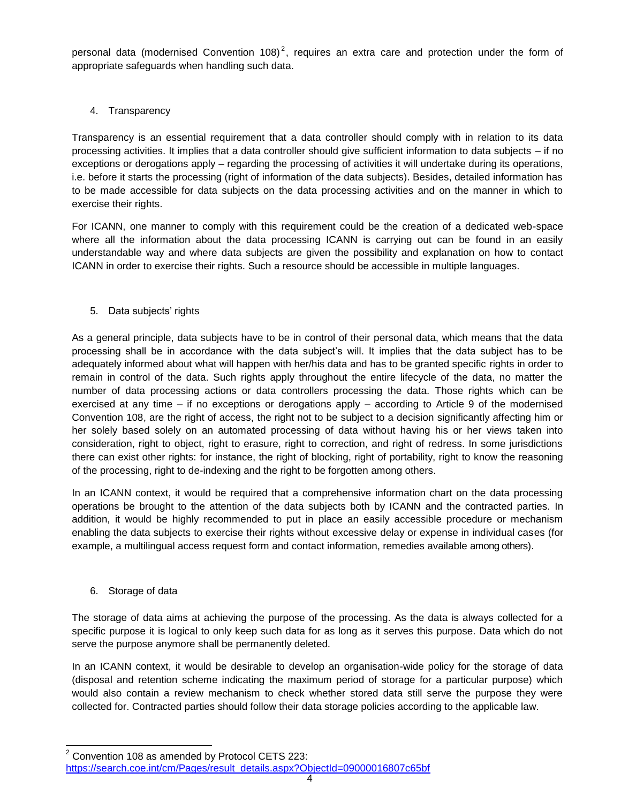personal data (modernised Convention 108)<sup>2</sup>, requires an extra care and protection under the form of appropriate safeguards when handling such data.

#### 4. Transparency

Transparency is an essential requirement that a data controller should comply with in relation to its data processing activities. It implies that a data controller should give sufficient information to data subjects – if no exceptions or derogations apply – regarding the processing of activities it will undertake during its operations, i.e. before it starts the processing (right of information of the data subjects). Besides, detailed information has to be made accessible for data subjects on the data processing activities and on the manner in which to exercise their rights.

For ICANN, one manner to comply with this requirement could be the creation of a dedicated web-space where all the information about the data processing ICANN is carrying out can be found in an easily understandable way and where data subjects are given the possibility and explanation on how to contact ICANN in order to exercise their rights. Such a resource should be accessible in multiple languages.

#### 5. Data subjects' rights

As a general principle, data subjects have to be in control of their personal data, which means that the data processing shall be in accordance with the data subject's will. It implies that the data subject has to be adequately informed about what will happen with her/his data and has to be granted specific rights in order to remain in control of the data. Such rights apply throughout the entire lifecycle of the data, no matter the number of data processing actions or data controllers processing the data. Those rights which can be exercised at any time – if no exceptions or derogations apply – according to Article 9 of the modernised Convention 108, are the right of access, the right not to be subject to a decision significantly affecting him or her solely based solely on an automated processing of data without having his or her views taken into consideration, right to object, right to erasure, right to correction, and right of redress. In some jurisdictions there can exist other rights: for instance, the right of blocking, right of portability, right to know the reasoning of the processing, right to de-indexing and the right to be forgotten among others.

In an ICANN context, it would be required that a comprehensive information chart on the data processing operations be brought to the attention of the data subjects both by ICANN and the contracted parties. In addition, it would be highly recommended to put in place an easily accessible procedure or mechanism enabling the data subjects to exercise their rights without excessive delay or expense in individual cases (for example, a multilingual access request form and contact information, remedies available among others).

#### 6. Storage of data

The storage of data aims at achieving the purpose of the processing. As the data is always collected for a specific purpose it is logical to only keep such data for as long as it serves this purpose. Data which do not serve the purpose anymore shall be permanently deleted.

In an ICANN context, it would be desirable to develop an organisation-wide policy for the storage of data (disposal and retention scheme indicating the maximum period of storage for a particular purpose) which would also contain a review mechanism to check whether stored data still serve the purpose they were collected for. Contracted parties should follow their data storage policies according to the applicable law.

 $2$  Convention 108 as amended by Protocol CETS 223: [https://search.coe.int/cm/Pages/result\\_details.aspx?ObjectId=09000016807c65bf](https://search.coe.int/cm/Pages/result_details.aspx?ObjectId=09000016807c65bf)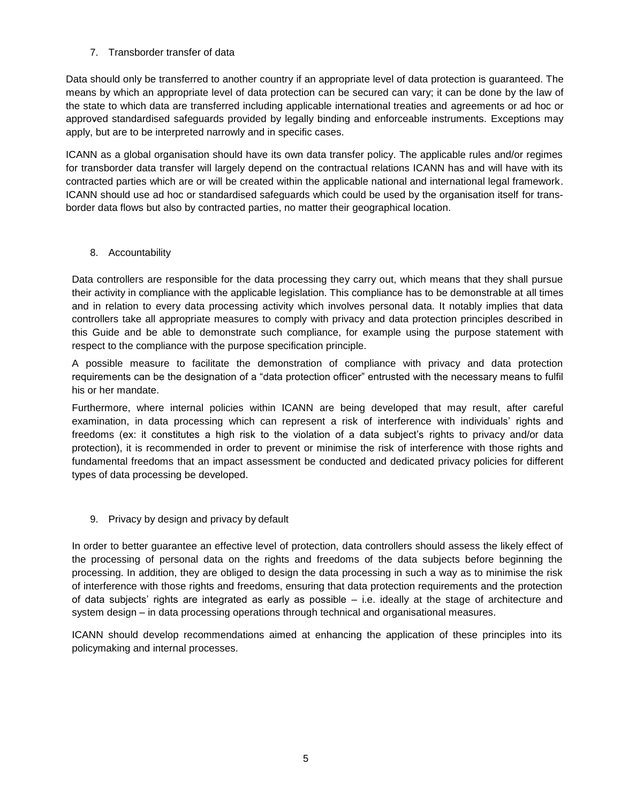### 7. Transborder transfer of data

Data should only be transferred to another country if an appropriate level of data protection is guaranteed. The means by which an appropriate level of data protection can be secured can vary; it can be done by the law of the state to which data are transferred including applicable international treaties and agreements or ad hoc or approved standardised safeguards provided by legally binding and enforceable instruments. Exceptions may apply, but are to be interpreted narrowly and in specific cases.

ICANN as a global organisation should have its own data transfer policy. The applicable rules and/or regimes for transborder data transfer will largely depend on the contractual relations ICANN has and will have with its contracted parties which are or will be created within the applicable national and international legal framework. ICANN should use ad hoc or standardised safeguards which could be used by the organisation itself for transborder data flows but also by contracted parties, no matter their geographical location.

### 8. Accountability

Data controllers are responsible for the data processing they carry out, which means that they shall pursue their activity in compliance with the applicable legislation. This compliance has to be demonstrable at all times and in relation to every data processing activity which involves personal data. It notably implies that data controllers take all appropriate measures to comply with privacy and data protection principles described in this Guide and be able to demonstrate such compliance, for example using the purpose statement with respect to the compliance with the purpose specification principle.

A possible measure to facilitate the demonstration of compliance with privacy and data protection requirements can be the designation of a "data protection officer" entrusted with the necessary means to fulfil his or her mandate.

Furthermore, where internal policies within ICANN are being developed that may result, after careful examination, in data processing which can represent a risk of interference with individuals' rights and freedoms (ex: it constitutes a high risk to the violation of a data subject's rights to privacy and/or data protection), it is recommended in order to prevent or minimise the risk of interference with those rights and fundamental freedoms that an impact assessment be conducted and dedicated privacy policies for different types of data processing be developed.

## 9. Privacy by design and privacy by default

In order to better guarantee an effective level of protection, data controllers should assess the likely effect of the processing of personal data on the rights and freedoms of the data subjects before beginning the processing. In addition, they are obliged to design the data processing in such a way as to minimise the risk of interference with those rights and freedoms, ensuring that data protection requirements and the protection of data subjects' rights are integrated as early as possible – i.e. ideally at the stage of architecture and system design – in data processing operations through technical and organisational measures.

ICANN should develop recommendations aimed at enhancing the application of these principles into its policymaking and internal processes.